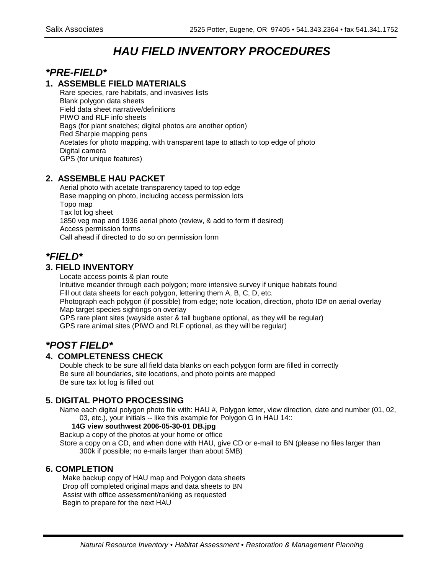# **HAU FIELD INVENTORY PROCEDURES**

## **\*PRE-FIELD\***

## **1. ASSEMBLE FIELD MATERIALS**

Rare species, rare habitats, and invasives lists Blank polygon data sheets Field data sheet narrative/definitions PIWO and RLF info sheets Bags (for plant snatches; digital photos are another option) Red Sharpie mapping pens Acetates for photo mapping, with transparent tape to attach to top edge of photo Digital camera GPS (for unique features)

## **2. ASSEMBLE HAU PACKET**

Aerial photo with acetate transparency taped to top edge Base mapping on photo, including access permission lots Topo map Tax lot log sheet 1850 veg map and 1936 aerial photo (review, & add to form if desired) Access permission forms Call ahead if directed to do so on permission form

## **\*FIELD\***

## **3. FIELD INVENTORY**

Locate access points & plan route

Intuitive meander through each polygon; more intensive survey if unique habitats found Fill out data sheets for each polygon, lettering them A, B, C, D, etc. Photograph each polygon (if possible) from edge; note location, direction, photo ID# on aerial overlay Map target species sightings on overlay GPS rare plant sites (wayside aster & tall bugbane optional, as they will be regular)

GPS rare animal sites (PIWO and RLF optional, as they will be regular)

## **\*POST FIELD\***

## **4. COMPLETENESS CHECK**

Double check to be sure all field data blanks on each polygon form are filled in correctly Be sure all boundaries, site locations, and photo points are mapped Be sure tax lot log is filled out

## **5. DIGITAL PHOTO PROCESSING**

Name each digital polygon photo file with: HAU #, Polygon letter, view direction, date and number (01, 02, 03, etc.), your initials -- like this example for Polygon G in HAU 14::

#### **14G view southwest 2006-05-30-01 DB.jpg**

Backup a copy of the photos at your home or office

Store a copy on a CD, and when done with HAU, give CD or e-mail to BN (please no files larger than 300k if possible; no e-mails larger than about 5MB)

## **6. COMPLETION**

Make backup copy of HAU map and Polygon data sheets Drop off completed original maps and data sheets to BN Assist with office assessment/ranking as requested Begin to prepare for the next HAU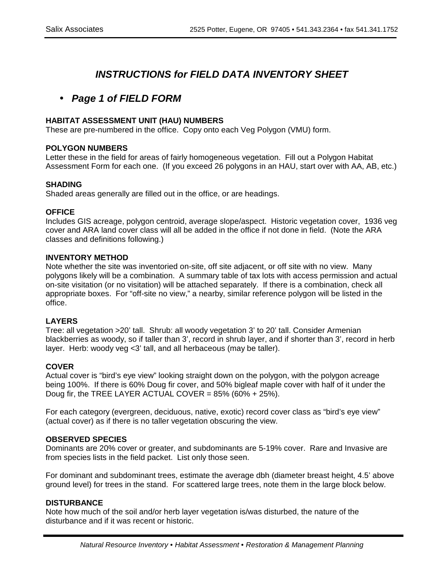## **INSTRUCTIONS for FIELD DATA INVENTORY SHEET**

## • **Page 1 of FIELD FORM**

#### **HABITAT ASSESSMENT UNIT (HAU) NUMBERS**

These are pre-numbered in the office. Copy onto each Veg Polygon (VMU) form.

#### **POLYGON NUMBERS**

Letter these in the field for areas of fairly homogeneous vegetation. Fill out a Polygon Habitat Assessment Form for each one. (If you exceed 26 polygons in an HAU, start over with AA, AB, etc.)

#### **SHADING**

Shaded areas generally are filled out in the office, or are headings.

#### **OFFICE**

Includes GIS acreage, polygon centroid, average slope/aspect. Historic vegetation cover, 1936 veg cover and ARA land cover class will all be added in the office if not done in field. (Note the ARA classes and definitions following.)

#### **INVENTORY METHOD**

Note whether the site was inventoried on-site, off site adjacent, or off site with no view. Many polygons likely will be a combination. A summary table of tax lots with access permission and actual on-site visitation (or no visitation) will be attached separately. If there is a combination, check all appropriate boxes. For "off-site no view," a nearby, similar reference polygon will be listed in the office.

#### **LAYERS**

Tree: all vegetation >20' tall. Shrub: all woody vegetation 3' to 20' tall. Consider Armenian blackberries as woody, so if taller than 3', record in shrub layer, and if shorter than 3', record in herb layer. Herb: woody veg <3' tall, and all herbaceous (may be taller).

#### **COVER**

Actual cover is "bird's eye view" looking straight down on the polygon, with the polygon acreage being 100%. If there is 60% Doug fir cover, and 50% bigleaf maple cover with half of it under the Doug fir, the TREE LAYER ACTUAL COVER =  $85\%$  (60% + 25%).

For each category (evergreen, deciduous, native, exotic) record cover class as "bird's eye view" (actual cover) as if there is no taller vegetation obscuring the view.

#### **OBSERVED SPECIES**

Dominants are 20% cover or greater, and subdominants are 5-19% cover. Rare and Invasive are from species lists in the field packet. List only those seen.

For dominant and subdominant trees, estimate the average dbh (diameter breast height, 4.5' above ground level) for trees in the stand. For scattered large trees, note them in the large block below.

#### **DISTURBANCE**

Note how much of the soil and/or herb layer vegetation is/was disturbed, the nature of the disturbance and if it was recent or historic.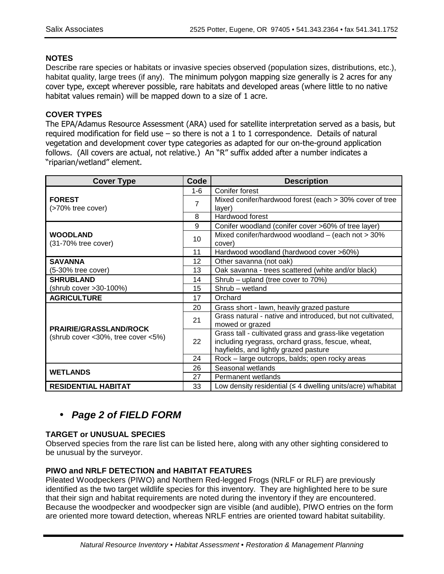## **NOTES**

Describe rare species or habitats or invasive species observed (population sizes, distributions, etc.), habitat quality, large trees (if any). The minimum polygon mapping size generally is 2 acres for any cover type, except wherever possible, rare habitats and developed areas (where little to no native habitat values remain) will be mapped down to a size of 1 acre.

## **COVER TYPES**

The EPA/Adamus Resource Assessment (ARA) used for satellite interpretation served as a basis, but required modification for field use – so there is not a 1 to 1 correspondence. Details of natural vegetation and development cover type categories as adapted for our on-the-ground application follows. (All covers are actual, not relative.) An "R" suffix added after a number indicates a "riparian/wetland" element.

| <b>Cover Type</b>                      | Code | <b>Description</b>                                                                                                                                    |  |  |  |
|----------------------------------------|------|-------------------------------------------------------------------------------------------------------------------------------------------------------|--|--|--|
|                                        | 1-6  | Conifer forest                                                                                                                                        |  |  |  |
| <b>FOREST</b><br>(>70% tree cover)     | 7    | Mixed conifer/hardwood forest (each > 30% cover of tree<br>layer)                                                                                     |  |  |  |
|                                        | 8    | Hardwood forest                                                                                                                                       |  |  |  |
|                                        | 9    | Conifer woodland (conifer cover >60% of tree layer)                                                                                                   |  |  |  |
| <b>WOODLAND</b><br>(31-70% tree cover) | 10   | Mixed conifer/hardwood woodland $-$ (each not $>$ 30%<br>cover)                                                                                       |  |  |  |
|                                        | 11   | Hardwood woodland (hardwood cover >60%)                                                                                                               |  |  |  |
| <b>SAVANNA</b>                         | 12   | Other savanna (not oak)                                                                                                                               |  |  |  |
| (5-30% tree cover)                     | 13   | Oak savanna - trees scattered (white and/or black)                                                                                                    |  |  |  |
| <b>SHRUBLAND</b>                       | 14   | Shrub – upland (tree cover to 70%)                                                                                                                    |  |  |  |
| (shrub cover >30-100%)                 | 15   | Shrub - wetland                                                                                                                                       |  |  |  |
| <b>AGRICULTURE</b>                     | 17   | Orchard                                                                                                                                               |  |  |  |
|                                        | 20   | Grass short - lawn, heavily grazed pasture                                                                                                            |  |  |  |
| <b>PRAIRIE/GRASSLAND/ROCK</b>          | 21   | Grass natural - native and introduced, but not cultivated,<br>mowed or grazed                                                                         |  |  |  |
| (shrub cover < 30%, tree cover < 5%)   | 22   | Grass tall - cultivated grass and grass-like vegetation<br>including ryegrass, orchard grass, fescue, wheat,<br>hayfields, and lightly grazed pasture |  |  |  |
|                                        | 24   | Rock - large outcrops, balds; open rocky areas                                                                                                        |  |  |  |
| <b>WETLANDS</b>                        | 26   | Seasonal wetlands                                                                                                                                     |  |  |  |
|                                        | 27   | Permanent wetlands                                                                                                                                    |  |  |  |
| <b>RESIDENTIAL HABITAT</b>             | 33   | Low density residential ( $\leq 4$ dwelling units/acre) w/habitat                                                                                     |  |  |  |

## • **Page 2 of FIELD FORM**

## **TARGET or UNUSUAL SPECIES**

Observed species from the rare list can be listed here, along with any other sighting considered to be unusual by the surveyor.

## **PIWO and NRLF DETECTION and HABITAT FEATURES**

Pileated Woodpeckers (PIWO) and Northern Red-legged Frogs (NRLF or RLF) are previously identified as the two target wildlife species for this inventory. They are highlighted here to be sure that their sign and habitat requirements are noted during the inventory if they are encountered. Because the woodpecker and woodpecker sign are visible (and audible), PIWO entries on the form are oriented more toward detection, whereas NRLF entries are oriented toward habitat suitability.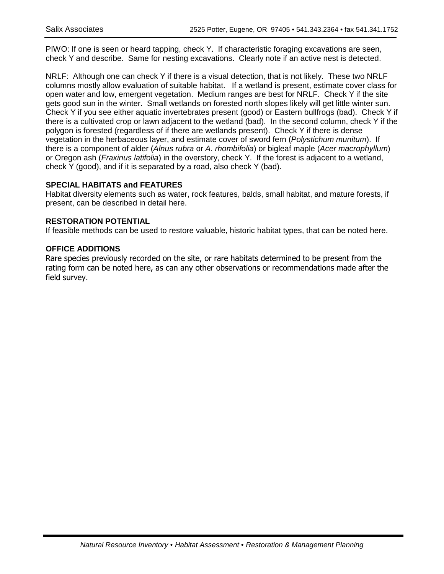PIWO: If one is seen or heard tapping, check Y. If characteristic foraging excavations are seen, check Y and describe. Same for nesting excavations. Clearly note if an active nest is detected.

NRLF: Although one can check Y if there is a visual detection, that is not likely. These two NRLF columns mostly allow evaluation of suitable habitat. If a wetland is present, estimate cover class for open water and low, emergent vegetation. Medium ranges are best for NRLF. Check Y if the site gets good sun in the winter. Small wetlands on forested north slopes likely will get little winter sun. Check Y if you see either aquatic invertebrates present (good) or Eastern bullfrogs (bad). Check Y if there is a cultivated crop or lawn adjacent to the wetland (bad). In the second column, check Y if the polygon is forested (regardless of if there are wetlands present). Check Y if there is dense vegetation in the herbaceous layer, and estimate cover of sword fern (Polystichum munitum). If there is a component of alder (Alnus rubra or A. rhombifolia) or bigleaf maple (Acer macrophyllum) or Oregon ash (Fraxinus latifolia) in the overstory, check Y. If the forest is adjacent to a wetland, check Y (good), and if it is separated by a road, also check Y (bad).

## **SPECIAL HABITATS and FEATURES**

Habitat diversity elements such as water, rock features, balds, small habitat, and mature forests, if present, can be described in detail here.

## **RESTORATION POTENTIAL**

If feasible methods can be used to restore valuable, historic habitat types, that can be noted here.

#### **OFFICE ADDITIONS**

Rare species previously recorded on the site, or rare habitats determined to be present from the rating form can be noted here, as can any other observations or recommendations made after the field survey.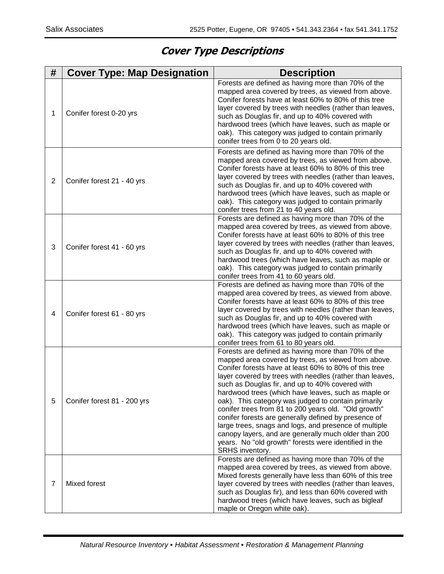## **Cover Type Descriptions**

| #              | <b>Cover Type: Map Designation</b> | <b>Description</b>                                                                                                                                                                                                                                                                                                                                                                                                                                                                                                                                                                                                                                                                                           |
|----------------|------------------------------------|--------------------------------------------------------------------------------------------------------------------------------------------------------------------------------------------------------------------------------------------------------------------------------------------------------------------------------------------------------------------------------------------------------------------------------------------------------------------------------------------------------------------------------------------------------------------------------------------------------------------------------------------------------------------------------------------------------------|
| 1              | Conifer forest 0-20 yrs            | Forests are defined as having more than 70% of the<br>mapped area covered by trees, as viewed from above.<br>Conifer forests have at least 60% to 80% of this tree<br>layer covered by trees with needles (rather than leaves,<br>such as Douglas fir, and up to 40% covered with<br>hardwood trees (which have leaves, such as maple or<br>oak). This category was judged to contain primarily<br>conifer trees from 0 to 20 years old.                                                                                                                                                                                                                                                                     |
| 2              | Conifer forest 21 - 40 yrs         | Forests are defined as having more than 70% of the<br>mapped area covered by trees, as viewed from above.<br>Conifer forests have at least 60% to 80% of this tree<br>layer covered by trees with needles (rather than leaves,<br>such as Douglas fir, and up to 40% covered with<br>hardwood trees (which have leaves, such as maple or<br>oak). This category was judged to contain primarily<br>conifer trees from 21 to 40 years old.                                                                                                                                                                                                                                                                    |
| 3              | Conifer forest 41 - 60 yrs         | Forests are defined as having more than 70% of the<br>mapped area covered by trees, as viewed from above.<br>Conifer forests have at least 60% to 80% of this tree<br>layer covered by trees with needles (rather than leaves,<br>such as Douglas fir, and up to 40% covered with<br>hardwood trees (which have leaves, such as maple or<br>oak). This category was judged to contain primarily<br>conifer trees from 41 to 60 years old.                                                                                                                                                                                                                                                                    |
| 4              | Conifer forest 61 - 80 yrs         | Forests are defined as having more than 70% of the<br>mapped area covered by trees, as viewed from above.<br>Conifer forests have at least 60% to 80% of this tree<br>layer covered by trees with needles (rather than leaves,<br>such as Douglas fir, and up to 40% covered with<br>hardwood trees (which have leaves, such as maple or<br>oak). This category was judged to contain primarily<br>conifer trees from 61 to 80 years old.                                                                                                                                                                                                                                                                    |
| 5              | Conifer forest 81 - 200 yrs        | Forests are defined as having more than 70% of the<br>mapped area covered by trees, as viewed from above.<br>Conifer forests have at least 60% to 80% of this tree<br>layer covered by trees with needles (rather than leaves,<br>such as Douglas fir, and up to 40% covered with<br>hardwood trees (which have leaves, such as maple or<br>oak). This category was judged to contain primarily<br>conifer trees from 81 to 200 years old. "Old growth"<br>conifer forests are generally defined by presence of<br>large trees, snags and logs, and presence of multiple<br>canopy layers, and are generally much older than 200<br>years. No "old growth" forests were identified in the<br>SRHS inventory. |
| $\overline{7}$ | Mixed forest                       | Forests are defined as having more than 70% of the<br>mapped area covered by trees, as viewed from above.<br>Mixed forests generally have less than 60% of this tree<br>layer covered by trees with needles (rather than leaves,<br>such as Douglas fir), and less than 60% covered with<br>hardwood trees (which have leaves, such as bigleaf<br>maple or Oregon white oak).                                                                                                                                                                                                                                                                                                                                |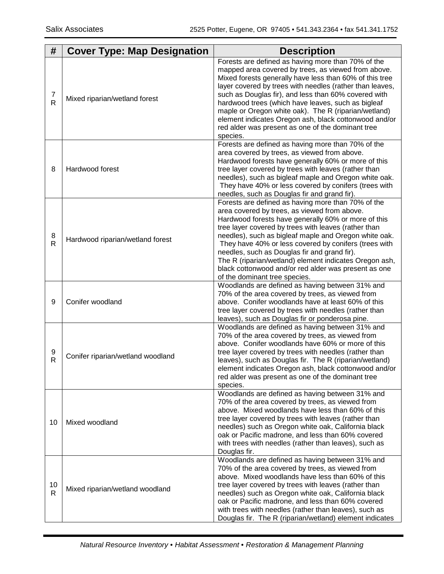| #                  | <b>Cover Type: Map Designation</b> | <b>Description</b>                                                                                                                                                                                                                                                                                                                                                                                                                                                                                                                     |
|--------------------|------------------------------------|----------------------------------------------------------------------------------------------------------------------------------------------------------------------------------------------------------------------------------------------------------------------------------------------------------------------------------------------------------------------------------------------------------------------------------------------------------------------------------------------------------------------------------------|
| 7<br>$\mathsf{R}$  | Mixed riparian/wetland forest      | Forests are defined as having more than 70% of the<br>mapped area covered by trees, as viewed from above.<br>Mixed forests generally have less than 60% of this tree<br>layer covered by trees with needles (rather than leaves,<br>such as Douglas fir), and less than 60% covered with<br>hardwood trees (which have leaves, such as bigleaf<br>maple or Oregon white oak). The R (riparian/wetland)<br>element indicates Oregon ash, black cottonwood and/or<br>red alder was present as one of the dominant tree<br>species.       |
| 8                  | Hardwood forest                    | Forests are defined as having more than 70% of the<br>area covered by trees, as viewed from above.<br>Hardwood forests have generally 60% or more of this<br>tree layer covered by trees with leaves (rather than<br>needles), such as bigleaf maple and Oregon white oak.<br>They have 40% or less covered by conifers (trees with<br>needles, such as Douglas fir and grand fir).                                                                                                                                                    |
| 8<br>R             | Hardwood riparian/wetland forest   | Forests are defined as having more than 70% of the<br>area covered by trees, as viewed from above.<br>Hardwood forests have generally 60% or more of this<br>tree layer covered by trees with leaves (rather than<br>needles), such as bigleaf maple and Oregon white oak.<br>They have 40% or less covered by conifers (trees with<br>needles, such as Douglas fir and grand fir).<br>The R (riparian/wetland) element indicates Oregon ash,<br>black cottonwood and/or red alder was present as one<br>of the dominant tree species. |
| 9                  | Conifer woodland                   | Woodlands are defined as having between 31% and<br>70% of the area covered by trees, as viewed from<br>above. Conifer woodlands have at least 60% of this<br>tree layer covered by trees with needles (rather than<br>leaves), such as Douglas fir or ponderosa pine.                                                                                                                                                                                                                                                                  |
| 9<br>R             | Conifer riparian/wetland woodland  | Woodlands are defined as having between 31% and<br>70% of the area covered by trees, as viewed from<br>above. Conifer woodlands have 60% or more of this<br>tree layer covered by trees with needles (rather than<br>leaves), such as Douglas fir. The R (riparian/wetland)<br>element indicates Oregon ash, black cottonwood and/or<br>red alder was present as one of the dominant tree<br>species.                                                                                                                                  |
| 10                 | Mixed woodland                     | Woodlands are defined as having between 31% and<br>70% of the area covered by trees, as viewed from<br>above. Mixed woodlands have less than 60% of this<br>tree layer covered by trees with leaves (rather than<br>needles) such as Oregon white oak, California black<br>oak or Pacific madrone, and less than 60% covered<br>with trees with needles (rather than leaves), such as<br>Douglas fir.                                                                                                                                  |
| 10<br>$\mathsf{R}$ | Mixed riparian/wetland woodland    | Woodlands are defined as having between 31% and<br>70% of the area covered by trees, as viewed from<br>above. Mixed woodlands have less than 60% of this<br>tree layer covered by trees with leaves (rather than<br>needles) such as Oregon white oak, California black<br>oak or Pacific madrone, and less than 60% covered<br>with trees with needles (rather than leaves), such as<br>Douglas fir. The R (riparian/wetland) element indicates                                                                                       |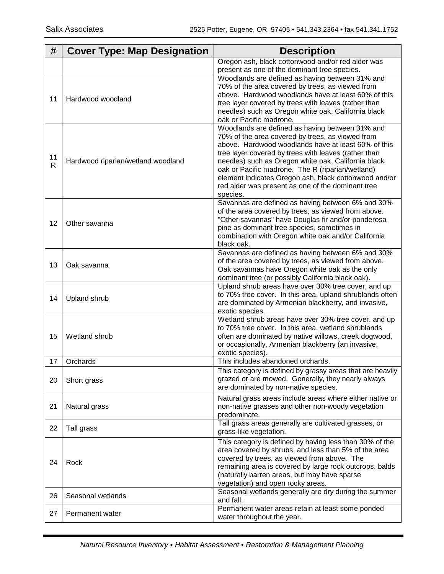| #            | <b>Cover Type: Map Designation</b> | <b>Description</b>                                                                                           |
|--------------|------------------------------------|--------------------------------------------------------------------------------------------------------------|
|              |                                    | Oregon ash, black cottonwood and/or red alder was                                                            |
|              |                                    | present as one of the dominant tree species.<br>Woodlands are defined as having between 31% and              |
|              |                                    | 70% of the area covered by trees, as viewed from                                                             |
|              |                                    | above. Hardwood woodlands have at least 60% of this                                                          |
| 11           | Hardwood woodland                  | tree layer covered by trees with leaves (rather than                                                         |
|              |                                    | needles) such as Oregon white oak, California black                                                          |
|              |                                    | oak or Pacific madrone.                                                                                      |
|              |                                    | Woodlands are defined as having between 31% and                                                              |
|              |                                    | 70% of the area covered by trees, as viewed from<br>above. Hardwood woodlands have at least 60% of this      |
|              |                                    | tree layer covered by trees with leaves (rather than                                                         |
| 11           | Hardwood riparian/wetland woodland | needles) such as Oregon white oak, California black                                                          |
| $\mathsf{R}$ |                                    | oak or Pacific madrone. The R (riparian/wetland)                                                             |
|              |                                    | element indicates Oregon ash, black cottonwood and/or                                                        |
|              |                                    | red alder was present as one of the dominant tree                                                            |
|              |                                    | species.                                                                                                     |
|              |                                    | Savannas are defined as having between 6% and 30%<br>of the area covered by trees, as viewed from above.     |
|              |                                    | "Other savannas" have Douglas fir and/or ponderosa                                                           |
| 12           | Other savanna                      | pine as dominant tree species, sometimes in                                                                  |
|              |                                    | combination with Oregon white oak and/or California                                                          |
|              |                                    | black oak.                                                                                                   |
|              |                                    | Savannas are defined as having between 6% and 30%                                                            |
| 13           | Oak savanna                        | of the area covered by trees, as viewed from above.                                                          |
|              |                                    | Oak savannas have Oregon white oak as the only<br>dominant tree (or possibly California black oak).          |
|              |                                    | Upland shrub areas have over 30% tree cover, and up                                                          |
|              |                                    | to 70% tree cover. In this area, upland shrublands often                                                     |
| 14           | Upland shrub                       | are dominated by Armenian blackberry, and invasive,                                                          |
|              |                                    | exotic species.                                                                                              |
|              |                                    | Wetland shrub areas have over 30% tree cover, and up                                                         |
| 15           | Wetland shrub                      | to 70% tree cover. In this area, wetland shrublands<br>often are dominated by native willows, creek dogwood, |
|              |                                    | or occasionally, Armenian blackberry (an invasive,                                                           |
|              |                                    | exotic species).                                                                                             |
| 17           | Orchards                           | This includes abandoned orchards.                                                                            |
|              |                                    | This category is defined by grassy areas that are heavily                                                    |
| 20           | Short grass                        | grazed or are mowed. Generally, they nearly always                                                           |
|              |                                    | are dominated by non-native species.                                                                         |
|              |                                    | Natural grass areas include areas where either native or                                                     |
| 21           | Natural grass                      | non-native grasses and other non-woody vegetation                                                            |
|              |                                    | predominate.<br>Tall grass areas generally are cultivated grasses, or                                        |
| 22           | Tall grass                         | grass-like vegetation.                                                                                       |
|              |                                    | This category is defined by having less than 30% of the                                                      |
|              |                                    | area covered by shrubs, and less than 5% of the area                                                         |
|              |                                    | covered by trees, as viewed from above. The                                                                  |
| 24           | Rock                               | remaining area is covered by large rock outcrops, balds                                                      |
|              |                                    | (naturally barren areas, but may have sparse                                                                 |
|              |                                    | vegetation) and open rocky areas.                                                                            |
| 26           | Seasonal wetlands                  | Seasonal wetlands generally are dry during the summer<br>and fall.                                           |
|              |                                    | Permanent water areas retain at least some ponded                                                            |
| 27           | Permanent water                    | water throughout the year.                                                                                   |
|              |                                    |                                                                                                              |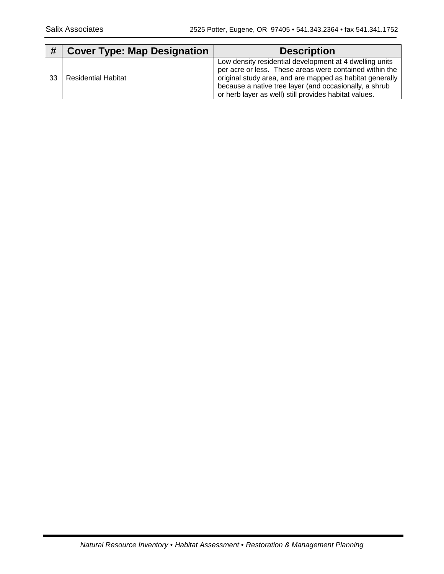| #  | <b>Cover Type: Map Designation</b> | <b>Description</b>                                                                                                                                                                                                                                                                                |
|----|------------------------------------|---------------------------------------------------------------------------------------------------------------------------------------------------------------------------------------------------------------------------------------------------------------------------------------------------|
| 33 | <b>Residential Habitat</b>         | Low density residential development at 4 dwelling units<br>per acre or less. These areas were contained within the<br>original study area, and are mapped as habitat generally<br>because a native tree layer (and occasionally, a shrub<br>or herb layer as well) still provides habitat values. |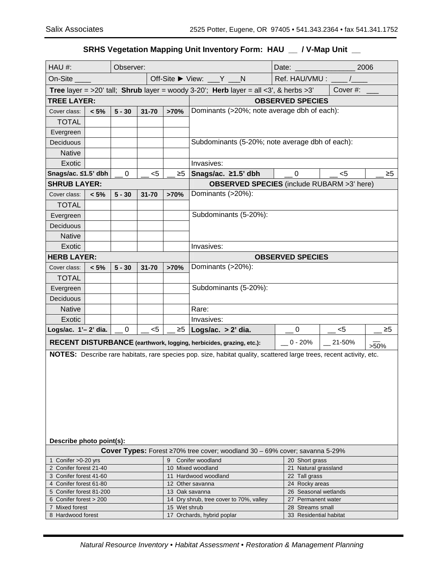## **SRHS Vegetation Mapping Unit Inventory Form: HAU \_\_ / V-Map Unit \_\_**

| HAU #:                                                                                                                                                                                      |         | Observer: |           |          |                                                                                 | Date:                | 2006                                   |          |  |  |
|---------------------------------------------------------------------------------------------------------------------------------------------------------------------------------------------|---------|-----------|-----------|----------|---------------------------------------------------------------------------------|----------------------|----------------------------------------|----------|--|--|
| On-Site                                                                                                                                                                                     |         |           |           |          | Off-Site $\triangleright$ View: $\lfloor Y \rfloor$ N                           | Ref. HAU/VMU:        |                                        |          |  |  |
| <b>Tree layer = &gt;20' tall; Shrub layer = woody 3-20'; Herb layer = all &lt;3', &amp; herbs &gt;3'</b>                                                                                    |         |           |           |          | Cover#:                                                                         |                      |                                        |          |  |  |
| <b>TREE LAYER:</b>                                                                                                                                                                          |         |           |           |          | <b>OBSERVED SPECIES</b>                                                         |                      |                                        |          |  |  |
| $5 - 30$<br>$31 - 70$<br>>70%<br>$< 5\%$<br>Cover class:                                                                                                                                    |         |           |           |          | Dominants (>20%; note average dbh of each):                                     |                      |                                        |          |  |  |
| <b>TOTAL</b>                                                                                                                                                                                |         |           |           |          |                                                                                 |                      |                                        |          |  |  |
| Evergreen                                                                                                                                                                                   |         |           |           |          |                                                                                 |                      |                                        |          |  |  |
| Deciduous                                                                                                                                                                                   |         |           |           |          | Subdominants (5-20%; note average dbh of each):                                 |                      |                                        |          |  |  |
| <b>Native</b>                                                                                                                                                                               |         |           |           |          |                                                                                 |                      |                                        |          |  |  |
| Exotic                                                                                                                                                                                      |         |           |           |          | Invasives:                                                                      |                      |                                        |          |  |  |
| Snags/ac. ≤1.5' dbh                                                                                                                                                                         |         | 0         | $<$ 5     | $\geq 5$ | Snags/ac. ≥1.5' dbh                                                             | 0                    | $<$ 5                                  | $\geq 5$ |  |  |
| <b>SHRUB LAYER:</b>                                                                                                                                                                         |         |           |           |          | <b>OBSERVED SPECIES</b> (include RUBARM >3' here)                               |                      |                                        |          |  |  |
| Cover class:                                                                                                                                                                                | $< 5\%$ | $5 - 30$  | $31 - 70$ | >70%     | Dominants (>20%):                                                               |                      |                                        |          |  |  |
| <b>TOTAL</b>                                                                                                                                                                                |         |           |           |          |                                                                                 |                      |                                        |          |  |  |
| Evergreen                                                                                                                                                                                   |         |           |           |          | Subdominants (5-20%):                                                           |                      |                                        |          |  |  |
| Deciduous                                                                                                                                                                                   |         |           |           |          |                                                                                 |                      |                                        |          |  |  |
| <b>Native</b>                                                                                                                                                                               |         |           |           |          |                                                                                 |                      |                                        |          |  |  |
| Exotic                                                                                                                                                                                      |         |           |           |          | Invasives:                                                                      |                      |                                        |          |  |  |
| <b>HERB LAYER:</b>                                                                                                                                                                          |         |           |           |          | <b>OBSERVED SPECIES</b>                                                         |                      |                                        |          |  |  |
| Cover class:                                                                                                                                                                                | $< 5\%$ | $5 - 30$  | $31 - 70$ | >70%     | Dominants (>20%):                                                               |                      |                                        |          |  |  |
| <b>TOTAL</b>                                                                                                                                                                                |         |           |           |          |                                                                                 |                      |                                        |          |  |  |
| Evergreen                                                                                                                                                                                   |         |           |           |          | Subdominants (5-20%):                                                           |                      |                                        |          |  |  |
| Deciduous                                                                                                                                                                                   |         |           |           |          |                                                                                 |                      |                                        |          |  |  |
| <b>Native</b>                                                                                                                                                                               |         |           |           |          | Rare:                                                                           |                      |                                        |          |  |  |
| Exotic                                                                                                                                                                                      |         |           |           |          | Invasives:                                                                      |                      |                                        |          |  |  |
| Logs/ac. $1'-2'$ dia.<br>$\geq 5$<br>$<$ 5<br>0                                                                                                                                             |         |           |           |          | Logs/ac. $> 2'$ dia.                                                            | $\sim$ 0             | $-$ <5                                 | ≥5       |  |  |
|                                                                                                                                                                                             |         |           |           |          |                                                                                 | $-0 - 20%$           | 21-50%                                 | $>50\%$  |  |  |
| RECENT DISTURBANCE (earthwork, logging, herbicides, grazing, etc.):<br>NOTES: Describe rare habitats, rare species pop. size, habitat quality, scattered large trees, recent activity, etc. |         |           |           |          |                                                                                 |                      |                                        |          |  |  |
| Describe photo point(s):                                                                                                                                                                    |         |           |           |          |                                                                                 |                      |                                        |          |  |  |
|                                                                                                                                                                                             |         |           |           | 9        | Cover Types: Forest ≥70% tree cover; woodland 30 - 69% cover; savanna 5-29%     |                      |                                        |          |  |  |
| 1 Conifer > 0-20 yrs<br>2 Conifer forest 21-40                                                                                                                                              |         |           |           |          | Conifer woodland<br>20 Short grass<br>10 Mixed woodland<br>21 Natural grassland |                      |                                        |          |  |  |
| 3 Conifer forest 41-60                                                                                                                                                                      |         |           |           |          | 11 Hardwood woodland                                                            | 22 Tall grass        |                                        |          |  |  |
| 4 Conifer forest 61-80                                                                                                                                                                      |         |           |           |          | 12 Other savanna                                                                |                      | 24 Rocky areas                         |          |  |  |
| 5 Conifer forest 81-200<br>13 Oak savanna                                                                                                                                                   |         |           |           |          |                                                                                 | 26 Seasonal wetlands |                                        |          |  |  |
| 6 Conifer forest > 200<br>7 Mixed forest<br>15 Wet shrub                                                                                                                                    |         |           |           |          | 14 Dry shrub, tree cover to 70%, valley                                         |                      | 27 Permanent water<br>28 Streams small |          |  |  |
| 8 Hardwood forest                                                                                                                                                                           |         |           |           |          | 17 Orchards, hybrid poplar                                                      |                      | 33 Residential habitat                 |          |  |  |